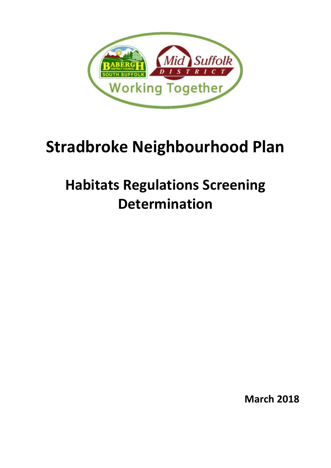

# **Stradbroke Neighbourhood Plan**

## **Habitats Regulations Screening Determination**

**March 2018**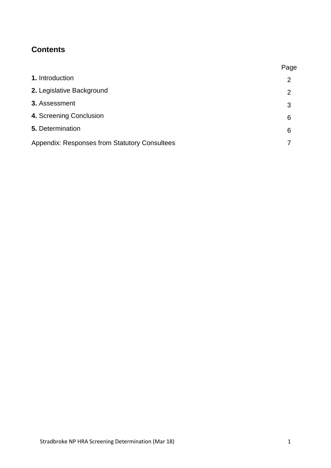### **Contents**

|                                                      | Page           |
|------------------------------------------------------|----------------|
| 1. Introduction                                      | $\overline{2}$ |
| 2. Legislative Background                            | 2              |
| 3. Assessment                                        | 3              |
| 4. Screening Conclusion                              | 6              |
| 5. Determination                                     | 6              |
| <b>Appendix: Responses from Statutory Consultees</b> |                |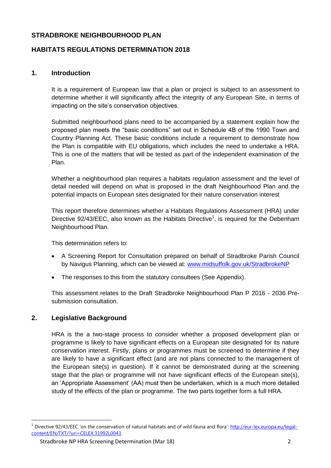#### **STRADBROKE NEIGHBOURHOOD PLAN**

#### **HABITATS REGULATIONS DETERMINATION 2018**

#### **1. Introduction**

It is a requirement of European law that a plan or project is subject to an assessment to determine whether it will significantly affect the integrity of any European Site, in terms of impacting on the site's conservation objectives.

Submitted neighbourhood plans need to be accompanied by a statement explain how the proposed plan meets the "basic conditions" set out in Schedule 4B of the 1990 Town and Country Planning Act. These basic conditions include a requirement to demonstrate how the Plan is compatible with EU obligations, which includes the need to undertake a HRA. This is one of the matters that will be tested as part of the independent examination of the Plan.

Whether a neighbourhood plan requires a habitats regulation assessment and the level of detail needed will depend on what is proposed in the draft Neighbourhood Plan and the potential impacts on European sites designated for their nature conservation interest

This report therefore determines whether a Habitats Regulations Assessment (HRA) under Directive  $92/43/EEC$ , also known as the Habitats Directive<sup>1</sup>, is required for the Debenham Neighbourhood Plan.

This determination refers to:

- A Screening Report for Consultation prepared on behalf of Stradbroke Parish Council by Navigus Planning, which can be viewed at: [www.midsuffolk.gov.uk/StradbrokeNP](http://www.midsuffolk.gov.uk/StradbrokeNP)
- The responses to this from the statutory consultees (See Appendix).

This assessment relates to the Draft Stradbroke Neighbourhood Plan P 2016 - 2036 Presubmission consultation.

#### **2. Legislative Background**

1

HRA is the a two-stage process to consider whether a proposed development plan or programme is likely to have significant effects on a European site designated for its nature conservation interest. Firstly, plans or programmes must be screened to determine if they are likely to have a significant effect (and are not plans connected to the management of the European site(s) in question). If it cannot be demonstrated during at the screening stage that the plan or programme will not have significant effects of the European site(s), an 'Appropriate Assessment' (AA) must then be undertaken, which is a much more detailed study of the effects of the plan or programme. The two parts together form a full HRA.

<sup>&</sup>lt;sup>1</sup> Directive 92/43/EEC 'on the conservation of natural habitats and of wild fauna and flora': [http://eur-lex.europa.eu/legal](http://eur-lex.europa.eu/legal-content/EN/TXT/?uri=CELEX:31992L0043)[content/EN/TXT/?uri=CELEX:31992L0043.](http://eur-lex.europa.eu/legal-content/EN/TXT/?uri=CELEX:31992L0043)

Stradbroke NP HRA Screening Determination (Mar 18) 2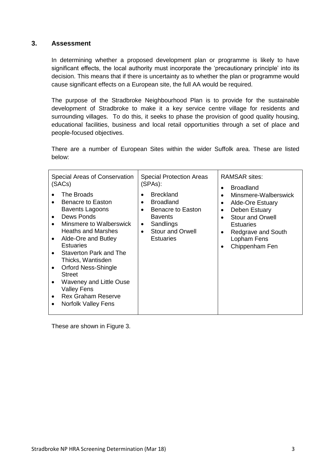#### **3. Assessment**

In determining whether a proposed development plan or programme is likely to have significant effects, the local authority must incorporate the 'precautionary principle' into its decision. This means that if there is uncertainty as to whether the plan or programme would cause significant effects on a European site, the full AA would be required.

The purpose of the Stradbroke Neighbourhood Plan is to provide for the sustainable development of Stradbroke to make it a key service centre village for residents and surrounding villages. To do this, it seeks to phase the provision of good quality housing, educational facilities, business and local retail opportunities through a set of place and people-focused objectives.

There are a number of European Sites within the wider Suffolk area. These are listed below:

| Special Areas of Conservation                                                                                                                                                                                                                                                                                                                                                                                                                                                         | <b>Special Protection Areas</b>                                                                                                                                                                          | <b>RAMSAR sites:</b>                                                                                                                                                        |
|---------------------------------------------------------------------------------------------------------------------------------------------------------------------------------------------------------------------------------------------------------------------------------------------------------------------------------------------------------------------------------------------------------------------------------------------------------------------------------------|----------------------------------------------------------------------------------------------------------------------------------------------------------------------------------------------------------|-----------------------------------------------------------------------------------------------------------------------------------------------------------------------------|
| (SACs)                                                                                                                                                                                                                                                                                                                                                                                                                                                                                | (SPAs):                                                                                                                                                                                                  | <b>Broadland</b>                                                                                                                                                            |
| The Broads<br>Benacre to Easton<br>$\bullet$<br><b>Bavents Lagoons</b><br>Dews Ponds<br>$\bullet$<br>Minsmere to Walberswick<br>$\bullet$<br><b>Heaths and Marshes</b><br>Alde-Ore and Butley<br>$\bullet$<br><b>Estuaries</b><br>Staverton Park and The<br>$\bullet$<br>Thicks, Wantisden<br><b>Orford Ness-Shingle</b><br>$\bullet$<br><b>Street</b><br>Waveney and Little Ouse<br>$\bullet$<br><b>Valley Fens</b><br><b>Rex Graham Reserve</b><br>$\bullet$<br>Norfolk Valley Fens | <b>Breckland</b><br>$\bullet$<br><b>Broadland</b><br>$\bullet$<br>Benacre to Easton<br>$\bullet$<br><b>Bavents</b><br>Sandlings<br>$\bullet$<br><b>Stour and Orwell</b><br>$\bullet$<br><b>Estuaries</b> | Minsmere-Walberswick<br><b>Alde-Ore Estuary</b><br>Deben Estuary<br><b>Stour and Orwell</b><br><b>Estuaries</b><br>Redgrave and South<br>٠<br>Lopham Fens<br>Chippenham Fen |

These are shown in Figure 3.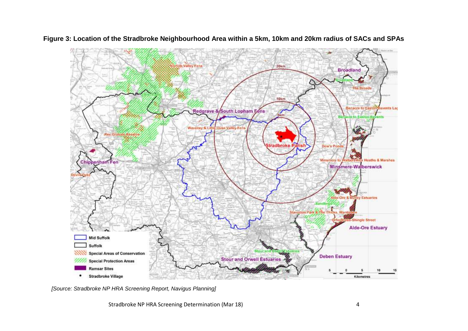

**Figure 3: Location of the Stradbroke Neighbourhood Area within a 5km, 10km and 20km radius of SACs and SPAs**

*[Source: Stradbroke NP HRA Screening Report, Navigus Planning]* 

Stradbroke NP HRA Screening Determination (Mar 18) 4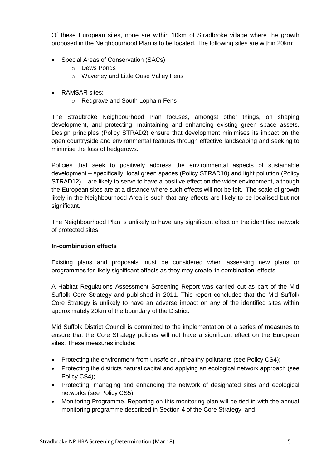Of these European sites, none are within 10km of Stradbroke village where the growth proposed in the Neighbourhood Plan is to be located. The following sites are within 20km:

- Special Areas of Conservation (SACs)
	- o Dews Ponds
	- o Waveney and Little Ouse Valley Fens
- RAMSAR sites:
	- o Redgrave and South Lopham Fens

The Stradbroke Neighbourhood Plan focuses, amongst other things, on shaping development, and protecting, maintaining and enhancing existing green space assets. Design principles (Policy STRAD2) ensure that development minimises its impact on the open countryside and environmental features through effective landscaping and seeking to minimise the loss of hedgerows.

Policies that seek to positively address the environmental aspects of sustainable development – specifically, local green spaces (Policy STRAD10) and light pollution (Policy STRAD12) – are likely to serve to have a positive effect on the wider environment, although the European sites are at a distance where such effects will not be felt. The scale of growth likely in the Neighbourhood Area is such that any effects are likely to be localised but not significant.

The Neighbourhood Plan is unlikely to have any significant effect on the identified network of protected sites.

#### **In-combination effects**

Existing plans and proposals must be considered when assessing new plans or programmes for likely significant effects as they may create 'in combination' effects.

A Habitat Regulations Assessment Screening Report was carried out as part of the Mid Suffolk Core Strategy and published in 2011. This report concludes that the Mid Suffolk Core Strategy is unlikely to have an adverse impact on any of the identified sites within approximately 20km of the boundary of the District.

Mid Suffolk District Council is committed to the implementation of a series of measures to ensure that the Core Strategy policies will not have a significant effect on the European sites. These measures include:

- Protecting the environment from unsafe or unhealthy pollutants (see Policy CS4);
- Protecting the districts natural capital and applying an ecological network approach (see Policy CS4);
- Protecting, managing and enhancing the network of designated sites and ecological networks (see Policy CS5);
- Monitoring Programme. Reporting on this monitoring plan will be tied in with the annual monitoring programme described in Section 4 of the Core Strategy; and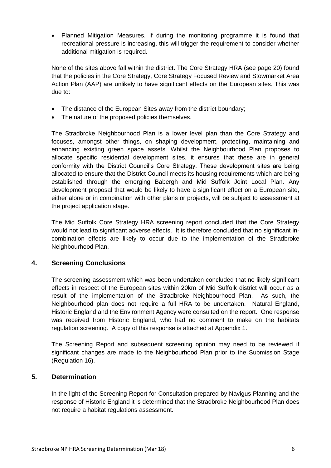Planned Mitigation Measures. If during the monitoring programme it is found that recreational pressure is increasing, this will trigger the requirement to consider whether additional mitigation is required.

None of the sites above fall within the district. The Core Strategy HRA (see page 20) found that the policies in the Core Strategy, Core Strategy Focused Review and Stowmarket Area Action Plan (AAP) are unlikely to have significant effects on the European sites. This was due to:

- The distance of the European Sites away from the district boundary;
- The nature of the proposed policies themselves.

The Stradbroke Neighbourhood Plan is a lower level plan than the Core Strategy and focuses, amongst other things, on shaping development, protecting, maintaining and enhancing existing green space assets. Whilst the Neighbourhood Plan proposes to allocate specific residential development sites, it ensures that these are in general conformity with the District Council's Core Strategy. These development sites are being allocated to ensure that the District Council meets its housing requirements which are being established through the emerging Babergh and Mid Suffolk Joint Local Plan. Any development proposal that would be likely to have a significant effect on a European site, either alone or in combination with other plans or projects, will be subject to assessment at the project application stage.

The Mid Suffolk Core Strategy HRA screening report concluded that the Core Strategy would not lead to significant adverse effects. It is therefore concluded that no significant incombination effects are likely to occur due to the implementation of the Stradbroke Neighbourhood Plan.

#### **4. Screening Conclusions**

The screening assessment which was been undertaken concluded that no likely significant effects in respect of the European sites within 20km of Mid Suffolk district will occur as a result of the implementation of the Stradbroke Neighbourhood Plan. As such, the Neighbourhood plan does not require a full HRA to be undertaken. Natural England, Historic England and the Environment Agency were consulted on the report. One response was received from Historic England, who had no comment to make on the habitats regulation screening. A copy of this response is attached at Appendix 1.

The Screening Report and subsequent screening opinion may need to be reviewed if significant changes are made to the Neighbourhood Plan prior to the Submission Stage (Regulation 16).

#### **5. Determination**

In the light of the Screening Report for Consultation prepared by Navigus Planning and the response of Historic England it is determined that the Stradbroke Neighbourhood Plan does not require a habitat regulations assessment.